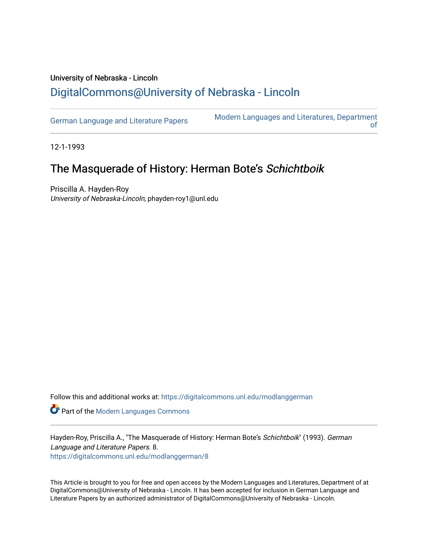## University of Nebraska - Lincoln [DigitalCommons@University of Nebraska - Lincoln](https://digitalcommons.unl.edu/)

[German Language and Literature Papers](https://digitalcommons.unl.edu/modlanggerman) Modern Languages and Literatures, Department [of](https://digitalcommons.unl.edu/modernlanguages) 

12-1-1993

# The Masquerade of History: Herman Bote's Schichtboik

Priscilla A. Hayden-Roy University of Nebraska-Lincoln, phayden-roy1@unl.edu

Follow this and additional works at: [https://digitalcommons.unl.edu/modlanggerman](https://digitalcommons.unl.edu/modlanggerman?utm_source=digitalcommons.unl.edu%2Fmodlanggerman%2F8&utm_medium=PDF&utm_campaign=PDFCoverPages) 

Part of the [Modern Languages Commons](http://network.bepress.com/hgg/discipline/1130?utm_source=digitalcommons.unl.edu%2Fmodlanggerman%2F8&utm_medium=PDF&utm_campaign=PDFCoverPages) 

Hayden-Roy, Priscilla A., "The Masquerade of History: Herman Bote's Schichtboik" (1993). German Language and Literature Papers. 8. [https://digitalcommons.unl.edu/modlanggerman/8](https://digitalcommons.unl.edu/modlanggerman/8?utm_source=digitalcommons.unl.edu%2Fmodlanggerman%2F8&utm_medium=PDF&utm_campaign=PDFCoverPages) 

This Article is brought to you for free and open access by the Modern Languages and Literatures, Department of at DigitalCommons@University of Nebraska - Lincoln. It has been accepted for inclusion in German Language and Literature Papers by an authorized administrator of DigitalCommons@University of Nebraska - Lincoln.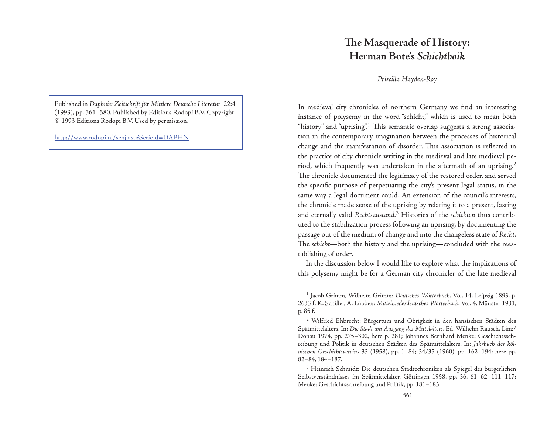### **The Masquerade of History: Herman Bote's** *Schichtboik*

*Priscilla Hayden-Roy*

In medieval city chronicles of northern Germany we find an interesting instance of polysemy in the word "schicht," which is used to mean both "history" and "uprising".<sup>1</sup> This semantic overlap suggests a strong association in the contemporary imagination between the processes of historical change and the manifestation of disorder. This association is reflected in the practice of city chronicle writing in the medieval and late medieval period, which frequently was undertaken in the aftermath of an uprising.<sup>2</sup> The chronicle documented the legitimacy of the restored order, and served the specific purpose of perpetuating the city's present legal status, in the same way a legal document could. An extension of the council's interests, the chronicle made sense of the uprising by relating it to a present, lasting and eternally valid *Rechtszustand.*3 Histories of the *schichten* thus contributed to the stabilization process following an uprising, by documenting the passage out of the medium of change and into the changeless state of *Recht.* The *schicht*—both the history and the uprising—concluded with the reestablishing of order.

In the discussion below I would like to explore what the implications of this polysemy might be for a German city chronicler of the late medieval

1 Jacob Grimm, Wilhelm Grimm: *Deutsches Wörterbuch*. Vol. 14. Leipzig 1893, p. 2633 f; K. Schiller, A. Lübben: *Mittelniederdeutsches Wörterbuch*. Vol. 4. Münster 1931, p. 85 f.

<sup>2</sup> Wilfried Ehbrecht: Bürgertum und Obrigkeit in den hansischen Städten des Spätmittelalters. In: *Die Stadt am Ausgang des Mittelalters*. Ed. Wilhelm Rausch. Linz/ Donau 1974, pp. 275–302, here p. 281; Johannes Bernhard Menke: Geschichtsschreibung und Politik in deutschen Städten des Spätmit telalters. In: *Jahrbuch des kölnischen Geschichtsvereins* 33 (1958), pp. 1–84; 34/35 (1960), pp. 162–194; here pp. 82–84, 184–187.

3 Heinrich Schmidt: Die deutschen Städtechroniken als Spiegel des bürgerlichen Selbstverständnisses im Spätmittelalter. Göttingen 1958, pp. 36, 61–62, 111–117; Menke: Geschichtsschreibung und Politik, pp. 181–183.

Published in *Daphnis: Zeitschrift für Mittlere Deutsche Literatur* 22:4 (1993), pp. 561–580. Published by Editions Rodopi B.V. Copyright © 1993 Editions Rodopi B.V. Used by permission.

http://www.rodopi.nl/senj.asp?SerieId=DAPHN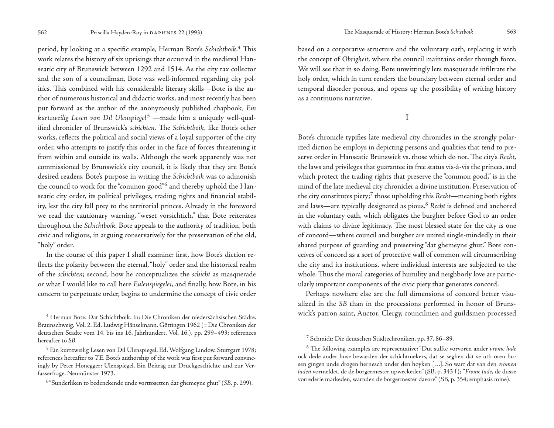period, by looking at a specific example, Herman Bote's *Schichtboik*.<sup>4</sup> This work relates the history of six uprisings that occurred in the medieval Hanseatic city of Brunswick between 1292 and 1514. As the city tax collector and the son of a councilman, Bote was well-informed regarding city politics. This combined with his considerable literary skills—Bote is the author of numerous historical and didactic works, and most recently has been put forward as the author of the anonymously published chapbook, *Em kurtzweilig Lesen von Dil Ulenspiegel* <sup>5</sup> *—*made him a uniquely well-qualified chronicler of Brunswick's *schichten*. The *Schichtboik*, like Bote's other works, reflects the political and social views of a loyal supporter of the city order, who attempts to justify this order in the face of forces threatening it from within and outside its walls. Although the work apparently was not commissioned by Brunswick's city council, it is likely that they are Bote's desired readers. Bote's purpose in writing the *Schichtboik* was to admonish the council to work for the "common good"6 and thereby uphold the Hanseatic city order, its political privileges, trading rights and financial stability, lest the city fall prey to the territorial princes. Already in the foreword we read the cautionary warning, "weset vorsichtich," that Bote reiterates throughout the *Schichtboik.* Bote appeals to the authority of tradition, both civic and religious, in arguing conservatively for the preservation of the old, "holy" order.

In the course of this paper I shall examine: first, how Bote's diction reflects the polarity between the eternal, "holy" order and the historical realm of the *schichten;* second, how he conceptualizes the *schicht* as masquerade or what I would like to call here *Eulenspiegelei*, and finally, how Bote, in his concern to perpetuate order, begins to undermine the concept of civic order

based on a corporative structure and the voluntary oath, replacing it with the concept of *Obrigkeit,* where the council maintains order through force. We will see that in so doing, Bote unwittingly lets masquerade infiltrate the holy order, which in turn renders the boundary between eternal order and temporal disorder porous, and opens up the possibility of writing history as a continuous narrative.

I

Bote's chronicle typifies late medieval city chronicles in the strongly polarized diction he employs in depicting persons and qualities that tend to preserve order in Hanseatic Brunswick vs. those which do not. The city's *Recht*, the laws and privileges that guarantee its free status vis-à-vis the princes, and which protect the trading rights that preserve the "common good," is in the mind of the late medieval city chronicler a divine institution. Preservation of the city constitutes piety;<sup>7</sup> those upholding this *Recht*—meaning both rights and laws—are typically designated as pious.<sup>8</sup> Recht is defined and anchored in the voluntary oath, which obligates the burgher before God to an order with claims to divine legitimacy. The most blessed state for the city is one of concord—where council and burgher are united single-mindedly in their shared purpose of guarding and preserving "dat ghemeyne ghut." Bote conceives of concord as a sort of protective wall of common will circumscribing the city and its institutions, where individual interests are subjected to the whole. Thus the moral categories of humility and neighborly love are particularly important components of the civic piety that generates concord.

Perhaps nowhere else are the full dimensions of concord better visualized in the *SB* than in the processions performed in honor of Brunswick's patron saint, Auctor. Clergy, councilmen and guildsmen processed

7 Schmidt: Die deutschen Städtechroniken, pp. 37, 86–89.

<sup>8</sup> The following examples are representative: "Dut sulfte vorvoren ander *vrome lude* ock dede ander huse bewarden der schichtmekers, dat se seghen dat se uth oren husen gingen unde drogen hernesch under den hoyken [. . .]. So wart dat van den *vromen luden* vormeldet, de de borgermester upweckeden" (SB, p. 343 f ); *"Frome lude,* de dusse vorrederie markeden, warnden de borgermester davore" (SB, p. 354; emphasis mine).

<sup>4</sup> Herman Bote: Dat Schichtboik. In: Die Chroniken der niedersächsischen Städte. Braunschweig. Vol. 2. Ed. Ludwig Hänselmann. Göttingen 1962 (=Die Chroniken der deutschen Städte vom 14. bis ins 16. Jahrhundert. Vol. 16.), pp. 299–493; references hereafter to *SB.*

<sup>5</sup> Ein kurtzweilig Lesen von Dil Ulenspiegel. Ed. Wolfgang Lindow. Stuttgart 1978; references hereafter to TE. Bote's authorship of the work was first put forward convincingly by Peter Honegger: Ulenspiegel. Ein Beitrag zur Druckgeschichte und zur Verfasserfrage. Neumünster 1973.

<sup>6 &</sup>quot;Sunderliken to bedenckende unde vorttosetten dat ghemeyne ghut" (*SB*, p. 299).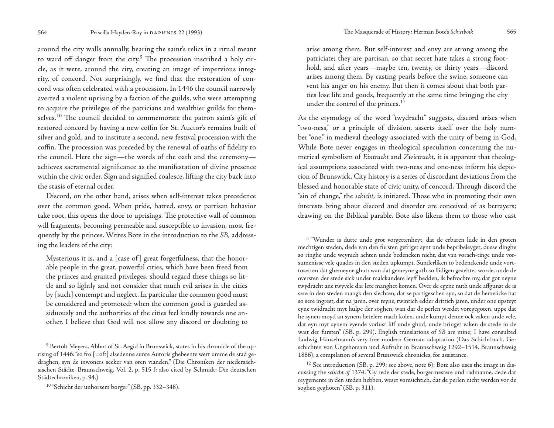564 Priscilla Hayden-Roy in DAPHNIS 22 (1993)

around the city walls annually, bearing the saint's relics in a ritual meant to ward off danger from the city.<sup>9</sup> The procession inscribed a holy circle, as it were, around the city, creating an image of impervious integrity, of concord. Not surprisingly, we find that the restoration of concord was often celebrated with a procession. In 1446 the council narrowly averted a violent uprising by a faction of the guilds, who were attempting to acquire the privileges of the patricians and wealthier guilds for themselves.<sup>10</sup> The council decided to commemorate the patron saint's gift of restored concord by having a new coffin for St. Auctor's remains built of silver and gold, and to institute a second, new festival procession with the coffin. The procession was preceded by the renewal of oaths of fidelity to the council. Here the sign—the words of the oath and the ceremony achieves sacramental significance as the manifestation of divine presence within the civic order. Sign and signified coalesce, lifting the city back into the stasis of eternal order.

Discord, on the other hand, arises when self-interest takes precedence over the common good. When pride, hatred, envy, or partisan behavior take root, this opens the door to uprisings. The protective wall of common will fragments, becoming permeable and susceptible to invasion, most frequently by the princes. Writes Bote in the introduction to the *SB,* addressing the leaders of the city:

Mysterious it is, and a [case of] great forgetfulness, that the honorable people in the great, powerful cities, which have been freed from the princes and granted privileges, should regard these things so little and so lightly and not consider that much evil arises in the cities by [such] contempt and neglect. In particular the common good must be considered and promoted: when the common good is guarded assiduously and the authorities of the cities feel kindly towards one another, I believe that God will not allow any discord or doubting to

<sup>9</sup> Bertolt Meyers, Abbot of St. Aegid in Brunswick, states in his chronicle of the uprising of 1446: "so fro [=oft] alsedenne sunte Autoris ghebeente wert umme de stad gedraghen, syn de inwoners seeker van oren vianden." (Die Chroniken der niedersächsischen Städte. Braunschweig. Vol. 2, p. 515 f; also cited by Schmidt: Die deutschen Städtechroniken, p. 94.)

10 "Schicht der unhorsem borger" (SB, pp. 332–348).

arise among them. But self-interest and envy are strong among the patriciate; they are partisan, so that secret hate takes a strong foothold, and after years—maybe ten, twenty, or thirty years—discord arises among them. By casting pearls before the swine, someone can vent his anger on his enemy. But then it comes about that both parties lose life and goods, frequently at the same time bringing the city under the control of the princes.<sup>11</sup>

As the etymology of the word "twydracht" suggests, discord arises when "two-ness," or a principle of division, asserts itself over the holy number "one," in medieval theology associated with the unity of being in God. While Bote never engages in theological speculation concerning the numerical symbolism of *Eintracht* and *Zwietracht,* it is apparent that theological assumptions associated with two-ness and one-ness inform his depiction of Brunswick. City history is a series of discordant deviations from the blessed and honorable state of civic unity, of concord. Through discord the "sin of change," the *schicht*, is initiated. Those who in promoting their own interests bring about discord and disorder are conceived of as betrayers; drawing on the Biblical parable, Bote also likens them to those who cast

<sup>n</sup>"Wunder is dutte unde grot vorgettenheyt, dat de erbaren lude in den groten mechtigen steden, dede van den fursten gefriget synt unde bepribeleyget, dusse dinghe so ringhe unde weynich achten unde bedencken nicht, dat van vorach-tinge unde vorsumenisse vele quades in den steden upkumpt. Sunderliken to bedenckende unde vorttosetten dat ghemeyne ghut: wan dat gemeyne guth so flidigen geaehtet worde, unde de oversten der stede sick under malckandere leyff hedden, ik befrochte my, dat got neyne twydracht ane twyvele dar lete manghet komen. Over de egene nuth unde affgunst de is sere in den steden mangk den slechten, dat se partigeschen syn, so dat de hemelicke hat so sere ingrest, dat na jaren, over teyne, twintich edder drittich jaren, under one upsteyt eyne twidracht myt hulpe der soghen, wan dar de perlen werdet voregegoten, uppe dat he synen moyd an synem hetelere mach kolen. unde kumpt denne ock vaken unde vele, dat eyn myt synem vyende vorlust liff unde ghud, unde bringet vaken de stede in de wait der fursten" (SB, p. 299). English translations of *SB* are mine; I have consulted Ludwig Hänselmann's very free modern German adaptation (Das Schichtbuch. Geschichten von Ungehorsam und Aufruhr in Braunschweig 1292–1514. Braunschweig 1886), a compilation of several Brunswick chronicles, for assistance.

 $12$  See introduction (SB, p. 299; see above, note 6); Bote also uses the image in discussing the *schicht of* 1374: "Gy rede der stede, borgermestere und radmanne, dede dat reygemente in den steden hebben, weset voresichtich, dat de perlen nicht werden vor de soghen geghöten" (SB, p. 311).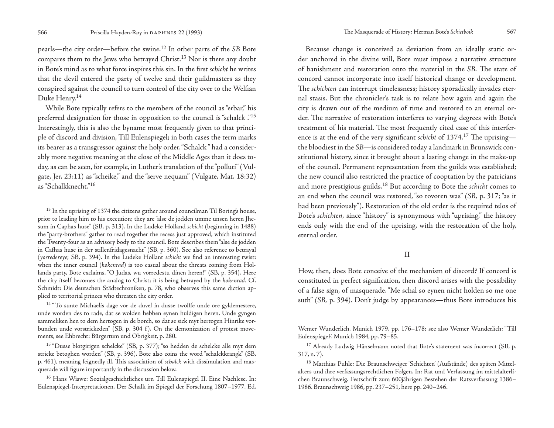pearls—the city order—before the swine.12 In other parts of the *SB* Bote compares them to the Jews who betrayed Christ.13 Nor is there any doubt in Bote's mind as to what force inspires this sin. In the first *schicht* he writes that the devil entered the party of twelve and their guildmasters as they conspired against the council to turn control of the city over to the Welfian Duke Henry.<sup>14</sup>

While Bote typically refers to the members of the council as "erbar," his preferred designation for those in opposition to the council is "schalck ."15 Interestingly, this is also the byname most frequently given to that princi<sup>p</sup>le of discord and division, Till Eulenspiegel; in both cases the term marks its bearer as a transgressor against the holy order. "Schalck" had a considerably more negative meaning at the close of the Middle Ages than it does today, as can be seen, for example, in Luther's translation of the "polluti" (Vulgate, Jer. 23:11) as "scheike," and the "serve nequam" (Vulgate, Mat. 18:32) as "Schalkknecht."16

 $13$  In the uprising of 1374 the citizens gather around councilman Til Boring's house, prior to leading him to his execution; they are "alse de jodden umme unsen heren Jhesum in Caphas huse" (SB, p. 313). In the Ludeke Holland *schicht* (beginning in 1488) the "party-brothers" gather to read together the recess just approved, which instituted the Twenty-four as an advisory body to the council. Bote describes them "alse de jodden in Cafhas huse in der stillenfridagesnacht" (SB, p. 360). See also reference to betrayal (*yorredereye*; SB, p. 394). In the Ludeke Hollant *schicht* we find an interesting twist: when the inner council (*kokenrad*) is too casual about the threats coming from Hollands party, Bote exclaims, "O Judas, wu vorredestu dinen heren!" (SB, p. 354). Here the city itself becomes the analog to Christ; it is being betrayed by the *kokenrad.* Cf. Schmidt: Die deutschen Städtechroniken, p. 78, who observes this same diction ap<sup>p</sup>lied to territorial princes who threaten the city order.

<sup>14</sup> "To sunte Michaelis dage vor de duvel in dusse twolffe unde ore gyldemestere, unde worden des to rade, dat se wolden hebben eynen huldigen heren. Unde gyngen sammeliken hen to dem hertogen in de borch, so dat se sick myt hertogen Hinrike vorbunden unde vorstrickeden" (SB, p. 304 f). On the demonization of protest movements, see Ehbrecht: Bürgertum und Obrigkeit, p. 280.

15 "Dusse blotgirigen schelcke" (SB, p. 377); "so hedden de schelcke alle myt dem stricke betoghen worden" (SB, p. 396). Bote also coins the word "schalckkrangk" (SB, p. 461), meaning feignedly ill. This association of schalck with dissimulation and masquerade will figure importantly in the discussion below.

<sup>16</sup> Hans Wiswe: Sozialgeschichtliches urn Till Eulenspiegel II. Eine Nachlese. In: Eulenspiegel-Interpretationen. Der Schalk im Spiegel der Forschung 1807–1977. Ed.

Because change is conceived as deviation from an ideally static order anchored in the divine will, Bote must impose a narrative structure of banishment and restoration onto the material in the SB. The state of concord cannot incorporate into itself historical change or development. The *schichten* can interrupt timelessness; history sporadically invades eternal stasis. But the chronicler's task is to relate how again and again the city is drawn out of the medium of time and restored to an eternal order. The narrative of restoration interferes to varying degrees with Bote's treatment of his material. The most frequently cited case of this interference is at the end of the very significant *schicht* of 1374.<sup>17</sup> The uprising the bloodiest in the *SB*—is considered today a landmark in Brunswick constitutional history, since it brought about a lasting change in the make-up of the council. Permanent representation from the guilds was established; the new council also restricted the practice of cooptation by the patricians and more prestigious guilds.<sup>18</sup> But according to Bote the *schicht* comes to an end when the council was restored, "so tovoren was" *(SB,* p. 317; "as it had been previously"). Restoration of the old order is the required telos of Bote's *schichten,* since "history" is synonymous with "uprising," the history ends only with the end of the uprising, with the restoration of the holy, eternal order.

#### II

How, then, does Bote conceive of the mechanism of discord? If concord is constituted in perfect signification, then discord arises with the possibility of a false sign, of masquerade. "Me schal so eynen nicht holden so me one suth" *(SB,* p. 394). Don't judge by appearances—thus Bote introduces his

Wemer Wunderlich. Munich 1979, pp. 176–178; see also Wemer Wunderlich: "Till EulenspiegeF. Munich 1984, pp. 79–85.

<sup>17</sup> Already Ludwig Hänselmann noted that Bote's statement was incorrect (SB, p. 317, n. 7).

18 Matthias Puhle: Die Braunschweiger 'Schichten' (Aufstände) des späten Mittelalters und ihre verfassungsrechtlichen Folgen. In: Rat und Verfassung im mittelalterlichen Braunschweig. Festschrift zum 600jährigen Bestehen der Ratsverfassung 1386– 1986. Braunschweig 1986, pp. 237–251, here pp. 240–246.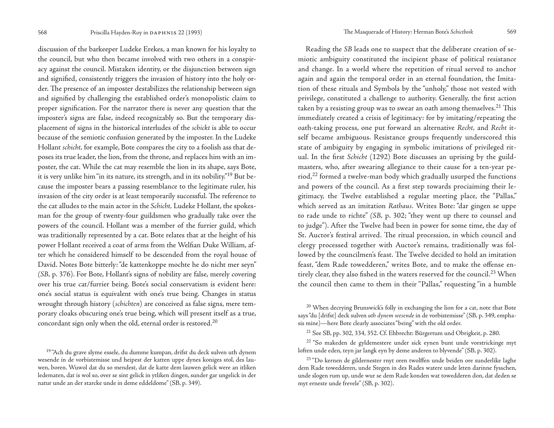discussion of the barkeeper Ludeke Erekes, a man known for his loyalty to the council, but who then became involved with two others in a conspiracy against the council. Mistaken identity, or the disjunction between sign and signified, consistently triggers the invasion of history into the holy order. The presence of an imposter destabilizes the relationship between sign and signified by challenging the established order's monopolistic claim to proper signification. For the narrator there is never any question that the imposter's signs are false, indeed recognizably so. But the temporary dis<sup>p</sup>lacement of signs in the historical interludes of the *schickt* is able to occur because of the semiotic confusion generated by the imposter. In the Ludeke Hollant *schicht,* for example, Bote compares the city to a foolish ass that deposes its true leader, the lion, from the throne, and replaces him with an imposter, the cat. While the cat may resemble the lion in its shape, says Bote, it is very unlike him "in its nature, its strength, and in its nobility."19 But because the imposter bears a passing resemblance to the legitimate ruler, his invasion of the city order is at least temporarily successful. The reference to the cat alludes to the main actor in the *Schicht,* Ludeke Hollant, the spokesman for the group of twenty-four guildsmen who gradually take over the powers of the council. Hollant was a member of the furrier guild, which was traditionally represented by a cat. Bote relates that at the height of his power Hollant received a coat of arms from the Welfian Duke William, after which he considered himself to be descended from the royal house of David. Notes Bote bitterly: "de kattenkoppe mochte he do nicht mer seyn" *(SB,* p. 376). For Bote, Hollant's signs of nobility are false, merely covering over his true cat/furrier being. Bote's social conservatism is evident here: one's social status is equivalent with one's true being. Changes in status wrought through history (*schichten*) are conceived as false signs, mere temporary cloaks obscuring one's true being, which will present itself as a true, concordant sign only when the old, eternal order is restored.20

<sup>19</sup> "Ach du grave slyme essele, du dumme kumpan, drifst du deck sulven uth dynem wesende in de vorbistemisse und heipest der katten uppe dynes koniges stol, des lauwen, boren. Wuwol dat du so mendest, dat de katte dem lauwen gelick were an itliken ledematen, dat is wol so, over se sint gelick in ytliken dingen, sunder gar ungelick in der natur unde an der starcke unde in deme eddeldome" (SB, p. 349).

Reading the *SB* leads one to suspect that the deliberate creation of semiotic ambiguity constituted the incipient phase of political resistance and change. In a world where the repetition of ritual served to anchor again and again the temporal order in an eternal foundation, the Imitation of these rituals and Symbols by the "unholy," those not vested with privilege, constituted a challenge to authority. Generally, the first action taken by a resisting group was to swear an oath among themselves. $^{21}$  This immediately created a crisis of legitimacy: for by imitating/repeating the oath-taking process, one put forward an alternative *Recht,* and *Recht* itself became ambiguous. Resistance groups frequently underscored this state of ambiguity by engaging in symbolic imitations of privileged ritual. In the first *Schicht* (1292) Bote discusses an uprising by the guildmasters, who, after swearing allegiance to their cause for a ten-year period,22 formed a twelve-man body which gradually usurped the functions and powers of the council. As a first step towards prociaiming their le<sup>g</sup>itimacy, the Twelve established a regular meeting place, the "Pallas," which served as an imitation *Rathaus.* Writes Bote: "dar gingen se uppe to rade unde to richte" *(SB,* p. 302; "they went up there to counsel and to judge"). After the Twelve had been in power for some time, the day of St. Auctor's festival arrived. The ritual procession, in which council and clergy processed together with Auctor's remains, traditionally was followed by the councilmen's feast. The Twelve decided to hold an imitation feast, "dem Rade towedderen," writes Bote, and to make the offense entirely clear, they also fished in the waters reserved for the council.<sup>23</sup> When the council then came to them in their "Pallas," requesting "in a humble

 $20$  When decrying Brunswick's folly in exchanging the lion for a cat, note that Bote says "du [drifst] deck sulven *uth dynem wesende* in de vorbistemisse" (SB, p. 349, emphasis mine)—here Bote clearly associates "being" with the old order.

21 See SB, pp. 302, 334, 352. Cf. Ehbrecht: Bürgertum und Obrigkeit, p. 280.

22 "So makeden de gyldemestere under sick eynen bunt unde vorstrickinge myt loften unde eden, teyn jar langk eyn by deme anderen to blyvende" (SB, p. 302).

<sup>23</sup> "Do kernen de gildernester rnyt oren twolffen unde beiden ore sunderlike laghe dem Rade towedderen, unde Stegen in des Rades watere unde leten darinne fysschen, unde slogen rum up, unde wur se dem Rade konden wat towedderen don, dat deden se myt erneste unde frevele" (SB, p. 302).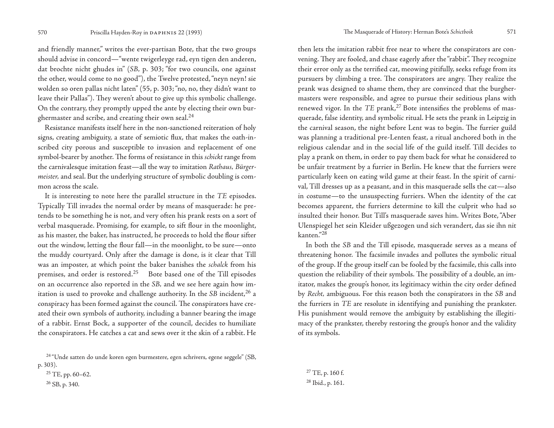and friendly manner," writes the ever-partisan Bote, that the two groups should advise in concord—"wente twigerleyge rad, eyn tigen den anderen, dat brochte nicht ghudes in" (*SB,* p. 303; "for two councils, one against the other, would come to no good"), the Twelve protested, "neyn neyn! sie wolden so oren pallas nicht laten" (55, p. 303; "no, no, they didn't want to leave their Pallas"). They weren't about to give up this symbolic challenge. On the contrary, they promptly upped the ante by electing their own bur<sup>g</sup>hermaster and scribe, and creating their own seal.24

Resistance manifests itself here in the non-sanctioned reiteration of holy signs, creating ambiguity, a state of semiotic flux, that makes the oath-inscribed city porous and susceptible to invasion and replacement of one symbol-bearer by another. The forms of resistance in this *schickt* range from the carnivalesque imitation feast—all the way to imitation *Rathaus, Bürgermeister,* and seal. But the underlying structure of symbolic doubling is common across the scale.

It is interesting to note here the parallel structure in the *TE* episodes. Typically Till invades the normal order by means of masquerade: he pretends to be something he is not, and very often his prank rests on a sort of verbal masquerade. Promising, for example, to sift flour in the moonlight, as his master, the baker, has instructed, he proceeds to hold the flour sifter out the window, letting the flour fall—in the moonlight, to be sure—onto the muddy courtyard. Only after the damage is done, is it clear that Till was an imposter, at which point the baker banishes the *schalck* from his premises, and order is restored.<sup>25</sup> Bote based one of the Till episodes on an occurrence also reported in the *SB,* and we see here again how imitation is used to provoke and challenge authority. In the *SB* incident,<sup>26</sup> a conspiracy has been formed against the council. The conspirators have created their own symbols of authority, including a banner bearing the image of a rabbit. Ernst Bock, a supporter of the council, decides to humiliate the conspirators. He catches a cat and sews over it the skin of a rabbit. He

<sup>24</sup> "Unde satten do unde koren egen burmestere, egen schrivers, egene seggele" (SB, p. 303).

25 TE, pp. 60–62.

26 SB, p. 340.

then lets the imitation rabbit free near to where the conspirators are convening. They are fooled, and chase eagerly after the "rabbit". They recognize their error only as the terrified cat, meowing pitifully, seeks refuge from its pursuers by climbing a tree. The conspirators are angry. They realize the prank was designed to shame them, they are convinced that the burghermasters were responsible, and agree to pursue their seditious plans with renewed vigor. In the *TE* prank,<sup>27</sup> Bote intensifies the problems of masquerade, false identity, and symbolic ritual. He sets the prank in Leipzig in the carnival season, the night before Lent was to begin. The furrier guild was planning a traditional pre-Lenten feast, a ritual anchored both in the religious calendar and in the social life of the guild itself. Till decides to <sup>p</sup>lay a prank on them, in order to pay them back for what he considered to be unfair treatment by a furrier in Berlin. He knew that the furriers were particularly keen on eating wild game at their feast. In the spirit of carnival, Till dresses up as a peasant, and in this masquerade sells the cat—also in costume—to the unsuspecting furriers. When the identity of the cat becomes apparent, the furriers determine to kill the culprit who had so insulted their honor. But Till's masquerade saves him. Writes Bote, "Aber Ulenspiegel het sein Kleider ußgezogen und sich verandert, das sie ihn nit kanten."28

In both the *SB* and the Till episode, masquerade serves as a means of threatening honor. The facsimile invades and pollutes the symbolic ritual of the group. If the group itself can be fooled by the facsimile, this calls into question the reliability of their symbols. The possibility of a double, an imitator, makes the group's honor, its legitimacy within the city order defined by *Recht,* ambiguous. For this reason both the conspirators in the *SB* and the furriers in *TE* are resolute in identifying and punishing the prankster. His punishment would remove the ambiguity by establishing the illegitimacy of the prankster, thereby restoring the group's honor and the validity of its symbols.

27 TE, p. 160 f. 28 Ibid., p. 161.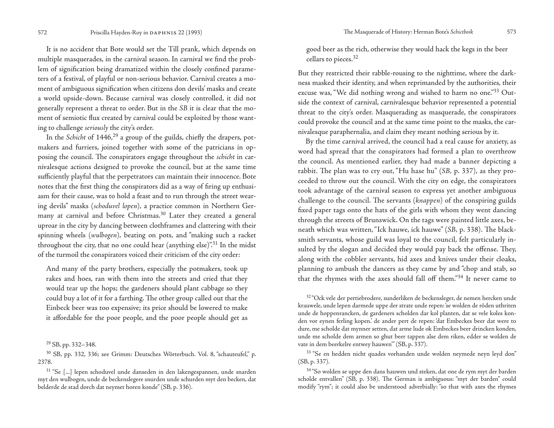It is no accident that Bote would set the Till prank, which depends on multiple masquerades, in the carnival season. In carnival we find the problem of signification being dramatized within the closely confined parameters of a festival, of playful or non-serious behavior. Carnival creates a moment of ambiguous signification when citizens don devils' masks and create a world upside-down. Because carnival was closely controlled, it did not generally represent a threat to order. But in the *SB* it is clear that the moment of semiotic flux created by carnival could be exploited by those wanting to challenge *seriously* the city's order.

In the *Schicht* of 1446,<sup>29</sup> a group of the guilds, chiefly the drapers, potmakers and furriers, joined together with some of the patricians in opposing the council. The conspirators engage throughout the *schicht* in carnivalesque actions designed to provoke the council, but at the same time sufficiently playful that the perpetrators can maintain their innocence. Bote notes that the first thing the conspirators did as a way of firing up enthusiasm for their cause, was to hold a feast and to run through the street wearing devils" masks (*schoduvel lopen*)*,* a practice common in Northern Germany at carnival and before Christmas.30 Later they created a general uproar in the city by dancing between clothframes and clattering with their spinning wheels (*wulbogen*)*,* beating on pots, and "making such a racket throughout the city, that no one could hear (anything else)".<sup>31</sup> In the midst of the turmoil the conspirators voiced their criticism of the city order:

And many of the party brothers, especially the potmakers, took up rakes and hoes, ran with them into the streets and cried that they would tear up the hops; the gardeners should plant cabbage so they could buy a lot of it for a farthing. The other group called out that the Einbeck beer was too expensive; its price should be lowered to make it affordable for the poor people, and the poor people should get as

good beer as the rich, otherwise they would hack the kegs in the beer cellars to pieces.32

But they restricted their rabble-rousing to the nighttime, where the darkness masked their identity, and when reprimanded by the authorities, their excuse was, "We did nothing wrong and wished to harm no one."33 Outside the context of carnival, carnivalesque behavior represented a potential threat to the city's order. Masquerading as masquerade, the conspirators could provoke the council and at the same time point to the masks, the carnivalesque paraphernalia, and claim they meant nothing serious by it.

By the time carnival arrived, the council had a real cause for anxiety, as word had spread that the conspirators had formed a plan to overthrow the council. As mentioned earlier, they had made a banner depicting a rabbit. The plan was to cry out, "Hu hase hu" (SB, p. 337), as they proceeded to throw out the council. With the city on edge, the conspirators took advantage of the carnival season to express yet another ambiguous challenge to the council. The servants (*knappen*) of the conspiring guilds fixed paper tags onto the hats of the girls with whom they went dancing through the streets of Brunswick. On the tags were painted little axes, beneath which was written, "Ick hauwe, ick hauwe" (SB, p. 338). The blacksmith servants, whose guild was loyal to the council, felt particularly insulted by the slogan and decided they would pay back the offense. They, along with the cobbler servants, hid axes and knives under their cloaks, <sup>p</sup>lanning to ambush the dancers as they came by and "chop and stab, so that the rhymes with the axes should fall off them."34 It never came to

32 "Ock vele der pertiebrodere, sunderliken de beckensleger, de nemen hercken unde krauwele, unde lepen darmede uppe der strate unde repen: 'se wolden de röden uthriten unde de hoppenrancken, de gardeners scholden dar kol planten, dat se vele koles konden vor eynen ferling kopen.' de ander pert de repen: 'dat Embeckes beer dat were to dure, me scholde dat mynner setten, dat arme lude ok Embeckes beer drincken konden, unde me scholde dem armen so ghut beer tappen alse dem riken, edder se wolden de vate in dem beerkelre entwey hauwen'" (SB, p. 337).

33 "Se en hedden nicht quades vorhanden unde wolden neymede neyn leyd don" (SB, p. 337).

<sup>34</sup> "So wolden se uppe den dans hauwen und steken, dat one de rym myt der barden scholde entvallen" (SB, p. 338). The German is ambiguous: "myt der barden" could modify "rym"; it could also be understood adverbially: "so that with axes the rhymes

<sup>29</sup> SB, pp. 332–348.

<sup>&</sup>lt;sup>30</sup> SB, pp. 332, 336; see Grimm: Deutsches Wörterbuch. Vol. 8, "schauteufel," p. 2378.

<sup>31 &</sup>quot;Se [...] lepen schoduvel unde danseden in den lakengespannen, unde snarden myt den wulbogen, unde de beckenslegere snurden unde schurden myt den becken, dat belderde de stad dorch dat neymet horen konde" (SB, p. 336).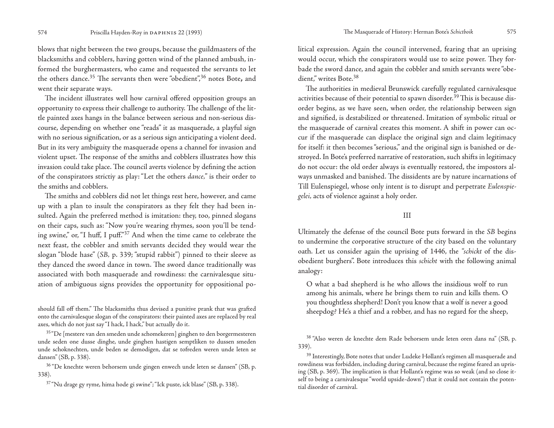blows that night between the two groups, because the guildmasters of the blacksmiths and cobblers, having gotten wind of the planned ambush, informed the burghermasters, who came and requested the servants to let the others dance.<sup>35</sup> The servants then were "obedient",<sup>36</sup> notes Bote, and went their separate ways.

The incident illustrates well how carnival offered opposition groups an opportunity to express their challenge to authority. The challenge of the little painted axes hangs in the balance between serious and non-serious discourse, depending on whether one "reads" it as masquerade, a playful sign with no serious signification, or as a serious sign anticipating a violent deed. But in its very ambiguity the masquerade opens a channel for invasion and violent upset. The response of the smiths and cobblers illustrates how this invasion could take place. The council averts violence by defining the action of the conspirators strictiy as play: "Let the others *dance,*" is their order to the smiths and cobblers.

The smiths and cobblers did not let things rest here, however, and came up with a plan to insult the conspirators as they felt they had been insulted. Again the preferred method is imitation: they, too, pinned slogans on their caps, such as: "Now you're wearing rhymes, soon you'll be tending swine," or, "I huff, I puff."<sup>37</sup> And when the time came to celebrate the next feast, the cobbler and smith servants decided they would wear the slogan "blode hase" (*SB,* p. 339; "stupid rabbit") pinned to their sleeve as they danced the sword dance in town. The sword dance traditionally was associated with both masquerade and rowdiness: the carnivalesque situation of ambiguous signs provides the opportunity for oppositional po-

should fall off them." The blacksmiths thus devised a punitive prank that was grafted onto the carnivalesque slogan of the conspirators: their painted axes are replaced by real axes, which do not just say "I hack, I hack," but actually do it.

35 "De [mestere van den smeden unde schomekeren] ginghen to den borgermesteren unde seden one dusse dinghe, unde ginghen hastigen semptliken to dussen smeden unde schoknechten, unde beden se demodigen, dat se tofreden weren unde leten se dansen" (SB, p. 338).

<sup>36</sup> "De knechte weren behorsem unde gingen enwech unde leten se dansen" (SB, p. 338).

37 "Nu drage gy ryme, hima hode gi swine"; "Ick puste, ick blase" (SB, p. 338).

litical expression. Again the council intervened, fearing that an uprising would occur, which the conspirators would use to seize power. They forbade the sword dance, and again the cobbler and smith servants were "obedient," writes Bote.<sup>38</sup>

The authorities in medieval Brunswick carefully regulated carnivalesque activities because of their potential to spawn disorder.<sup>39</sup> This is because disorder begins, as we have seen, when order, the relationship between sign and signified, is destabilized or threatened. Imitation of symbolic ritual or the masquerade of carnival creates this moment. A shift in power can occur if the masquerade can displace the original sign and claim legitimacy for itself: it then becomes "serious," and the original sign is banished or destroyed. In Bote's preferred narrative of restoration, such shifts in legitimacy do not occur: the old order always is eventually restored, the impostors always unmasked and banished. The dissidents are by nature incarnations of Till Eulenspiegel, whose only intent is to disrupt and perpetrate *Eulenspiegelei,* acts of violence against a holy order.

#### III

Ultimately the defense of the council Bote puts forward in the *SB* begins to undermine the corporative structure of the city based on the voluntary oath. Let us consider again the uprising of 1446, the *"schickt* of the disobedient burghers". Bote introduces this *schicht* with the following animal analogy:

O what a bad shepherd is he who allows the insidious wolf to run among his animals, where he brings them to ruin and kills them. O you thoughtless shepherd! Don't you know that a wolf is never a good sheepdog? He's a thief and a robber, and has no regard for the sheep,

38 "Also weren de knechte dem Rade behorsem unde leten oren dans na" (SB, p. 339).

<sup>39</sup> Interestingly, Bote notes that under Ludeke Hollant's regimen all masquerade and rowdiness was forbidden, including during carnival, because the regime feared an uprising (SB, p. 369). The implication is that Hollant's regime was so weak (and so close itself to being a carnivalesque "world upside-down") that it could not contain the potential disorder of carnival.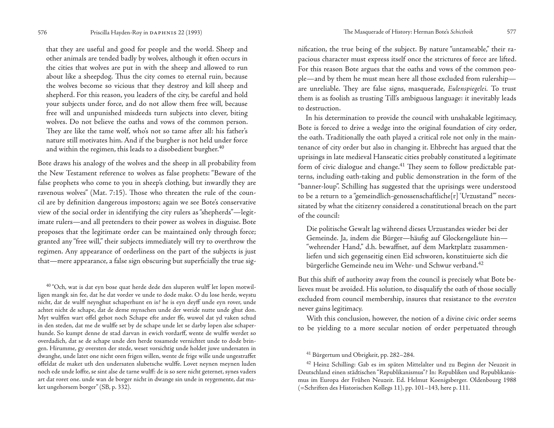that they are useful and good for people and the world. Sheep and other animals are tended badly by wolves, although it often occurs in the cities that wolves are put in with the sheep and allowed to run about like a sheepdog. Thus the city comes to eternal ruin, because the wolves become so vicious that they destroy and kill sheep and shepherd. For this reason, you leaders of the city, be careful and hold your subjects under force, and do not allow them free will, because free will and unpunished misdeeds turn subjects into clever, biting wolves. Do not believe the oaths and vows of the common person. They are like the tame wolf, who's not so tame after all: his father's nature still motivates him. And if the burgher is not held under force and within the regimen, this leads to a disobedient burgher.<sup>40</sup>

Bote draws his analogy of the wolves and the sheep in all probability from the New Testament reference to wolves as false prophets: "Beware of the false prophets who come to you in sheep's clothing, but inwardly they are ravenous wolves" (Mat. 7:15). Those who threaten the rule of the council are by definition dangerous impostors; again we see Bote's conservative view of the social order in identifying the city rulers as "shepherds"—legitimate rulers—and all pretenders to their power as wolves in disguise. Bote proposes that the legitimate order can be maintained only through force; granted any "free will," their subjects immediately will try to overthrow the regimen. Any appearance of orderliness on the part of the subjects is just that—mere appearance, a false sign obscuring but superficially the true sig-

<sup>40</sup> "Och, wat is dat eyn bose quat herde dede den sluperen wulff let lopen motwilligen mangk sin fee, dat he dat vorder ve unde to dode make. O du lose herde, weystu nicht, dat de wulff neynghut schaperhunt en is? he is eyn deyff unde eyn rover, unde achtet nicht de schape, dat de deme mynschen unde der weride nutte unde ghut don. Myt wulffen wart offel gehot noch Schape efte ander ffe, wuwol dat yd vaken schud in den steden, dat me de wulffe set by de schape unde let se darby lopen alse schaperhunde. So kumpt denne de stad darvan in ewich vordarff, wente de wulffe werdet so overdadich, dat se de schape unde den herde tosamede vernichtet unde to dode bringen. Hirumme, gy oversten der stede, weset vorsichtig unde holdet juwe undersaten in dwanghe, unde latet one nicht oren frigen willen, wente de frige wille unde ungestraffet offeldat de maket uth den undersaten slubetsche wulffe. Lovet neynen meynen luden noch ede unde loffte, se sint alse de tarne wulff: de is so sere nicht geternet, synes vaders art dat roret one. unde wan de borger nicht in dwange sin unde in reygemente, dat maket ungehorsem borger" (SB, p. 332).

nification, the true being of the subject. By nature "untameable," their rapacious character must express itself once the strictures of force are lifted. For this reason Bote argues that the oaths and vows of the common peo<sup>p</sup>le—and by them he must mean here all those excluded from rulership are unreliable. They are false signs, masquerade, *Eulenspiegelei*. To trust them is as foolish as trusting Till's ambiguous language: it inevitably leads to destruction.

In his determination to provide the council with unshakable legitimacy, Bote is forced to drive a wedge into the original foundation of city order, the oath. Traditionally the oath played a critical role not only in the maintenance of city order but also in changing it. Ehbrecht has argued that the uprisings in late medieval Hanseatic cities probably constituted a legitimate form of civic dialogue and change.<sup>41</sup> They seem to follow predictable patterns, including oath-taking and public demonstration in the form of the "banner-loup". Schilling has suggested that the uprisings were understood to be a return to a "gemeindlich-genossenschaftliche[r] 'Urzustand'" necessitated by what the citizenry considered a constitutional breach on the part of the council:

Die politische Gewalt lag während dieses Urzustandes wieder bei der Gemeinde. Ja, indem die Bürger—häufig auf Glockengeläute hin— "wehrender Hand," d.h. bewaffnet, auf dem Marktplatz zusammenliefen und sich gegenseitig einen Eid schworen, konstituierte sich die bürgerliche Gemeinde neu im Wehr- und Schwur verband.<sup>42</sup>

But this shift of authority away from the council is precisely what Bote believes must be avoided. His solution, to disqualify the oath of those socially excluded from council membership, insures that resistance to the *oversten* never gains legitimacy.

With this conclusion, however, the notion of a divine civic order seems to be yielding to a more secular notion of order perpetuated through

41 Bürgertum und Obrigkeit, pp. 282–284.

42 Heinz Schilling: Gab es im späten Mittelalter und zu Beginn der Neuzeit in Deutschland einen städtischen "Republikanismus"? In: Republiken und Republikanismus im Europa der Frühen Neuzeit. Ed. Helmut Koenigsberger. Oldenbourg 1988 (=Schriften des Historischen Kollegs 11), pp. 101–143, here p. 111.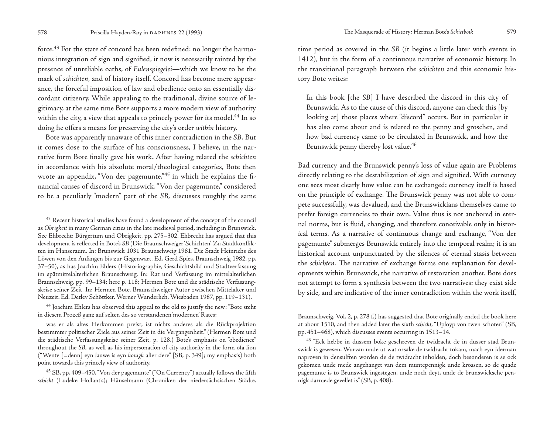force.<sup>43</sup> For the state of concord has been redefined: no longer the harmonious integration of sign and signified, it now is necessarily tainted by the presence of unreliable oaths, of *Eulenspiegelei*—which we know to be the mark of *schichten,* and of history itself. Concord has become mere appearance, the forceful imposition of law and obedience onto an essentially discordant citizenry. While appealing to the traditional, divine source of le<sup>g</sup>itimacy, at the same time Bote supports a more modern view of authority within the city, a view that appeals to princely power for its model.<sup>44</sup> In so doing he offers a means for preserving the city's order *within* history.

Bote was apparently unaware of this inner contradiction in the *SB.* But it comes dose to the surface of his consciousness, I believe, in the narrative form Bote finally gave his work. After having related the *schichten* in accordance with his absolute moral/theological categories, Bote then wrote an appendix, "Von der pagemunte,"<sup>45</sup> in which he explains the financial causes of discord in Brunswick. "Von der pagemunte," considered to be a peculiarly "modern" part of the *SB,* discusses roughly the same

<sup>43</sup> Recent historical studies have found a development of the concept of the council as *Obrigkeit* in many German cities in the late medieval period, including in Brunswick. See Ehbrecht: Bürgertum und Obrigkeit, pp. 275–302. Ehbrecht has argued that this development is reflected in Bote's SB (Die Braunschweiger 'Schichten'. Zu Stadtkonflikten im Hanseraum. In: Brunswiek 1031 Braunschweig 1981. Die Stadt Heinrichs des Löwen von den Anfängen bis zur Gegenwart. Ed. Gerd Spies. Braunschweig 1982, pp. 37–50), as has Joachim Ehlers (Historiographie, Geschichtsbild und Stadtverfassung im spätmittelalterlichen Braunschweig. In: Rat und Verfassung im mittelalterlichen Braunschweig, pp. 99–134; here p. 118; Hermen Bote und die städtische Verfassungskrise seiner Zeit. In: Hermen Bote. Braunschweiger Autor zwischen Mittelalter und Neuzeit. Ed. Detlev Schöttker, Werner Wunderlich. Wiesbaden 1987, pp. 119–131).

<sup>44</sup> Joachim Ehlers has observed this appeal to the old to justify the new: "Bote steht in diesem Prozeß ganz auf selten des so verstandenen 'modernen' Rates;

was er als altes Herkommen preist, ist nichts anderes als die Rückprojektion bestimmter politischer Ziele aus seiner Zeit in die Vergangenheit." (Hermen Bote und die städtische Verfassungskrise seiner Zeit, p. 128.) Bote's emphasis on "obedience" throughout the *SB,* as well as his impersonation of city authority in the form ofa lion ("Wente [=denn] eyn lauwe is eyn *konigk* aller dere" [SB, p. 349]; my emphasis) both point towards this princely view of authority.

<sup>45</sup> SB, pp. 409-450. "Von der pagemunte" ("On Currency") actually follows the fifth *schickt* (Ludeke Hollant's); Hänselmann (Chroniken der niedersächsischen Städte. time period as covered in the *SB* (it begins a little later with events in 1412), but in the form of a continuous narrative of economic history. In the transitional paragraph between the *schichten* and this economic history Bote writes:

In this book [the *SB*] I have described the discord in this city of Bruns wick. As to the cause of this discord, anyone can check this [by looking at] those places where "discord" occurs. But in particular it has also come about and is related to the penny and groschen, and how bad currency came to be circulated in Brunswick, and how the Brunswick penny thereby lost value.<sup>46</sup>

Bad currency and the Brunswick penny's loss of value again are Problems directly relating to the destabilization of sign and signified. With currency one sees most clearly how value can be exchanged: currency itself is based on the principle of exchange. The Brunswick penny was not able to compete successfully, was devalued, and the Brunswickians themselves came to prefer foreign currencies to their own. Value thus is not anchored in eternal norms, but is fluid, changing, and therefore conceivable only in historical terms. As a narrative of continuous change and exchange, "Von der pagemunte" submerges Brunswick entirely into the temporal realm; it is an historical account unpunctuated by the silences of eternal stasis between the *schichten*. The narrative of exchange forms one explanation for developments within Brunswick, the narrative of restoration another. Bote does not attempt to form a synthesis between the two narratives: they exist side by side, and are indicative of the inner contradiction within the work itself,

Braunschweig. Vol. 2, p. 278 f.) has suggested that Bote originally ended the book here at about 1510, and then added later the sixth *schickt,* "Uployp von twen schoten" (SB, pp. 451–468), which discusses events occurring in 1513–14.

46 "Eck hebbe in dussem boke geschreven de twidracht de in dusser stad Brunswick is gewesen. Wurvan unde ut wat orsake de twidracht tokam, mach eyn iderman naproven in densulften worden de de twidracht inholden, doch besonderen is se ock gekomen unde mede angehanget van dem muntepennigk unde krossen, so de quade pagemunte is to Brunswick ingestegen, unde noch deyt, unde de brunswicksche pennigk darmede gevellet is" (SB, p. 408).